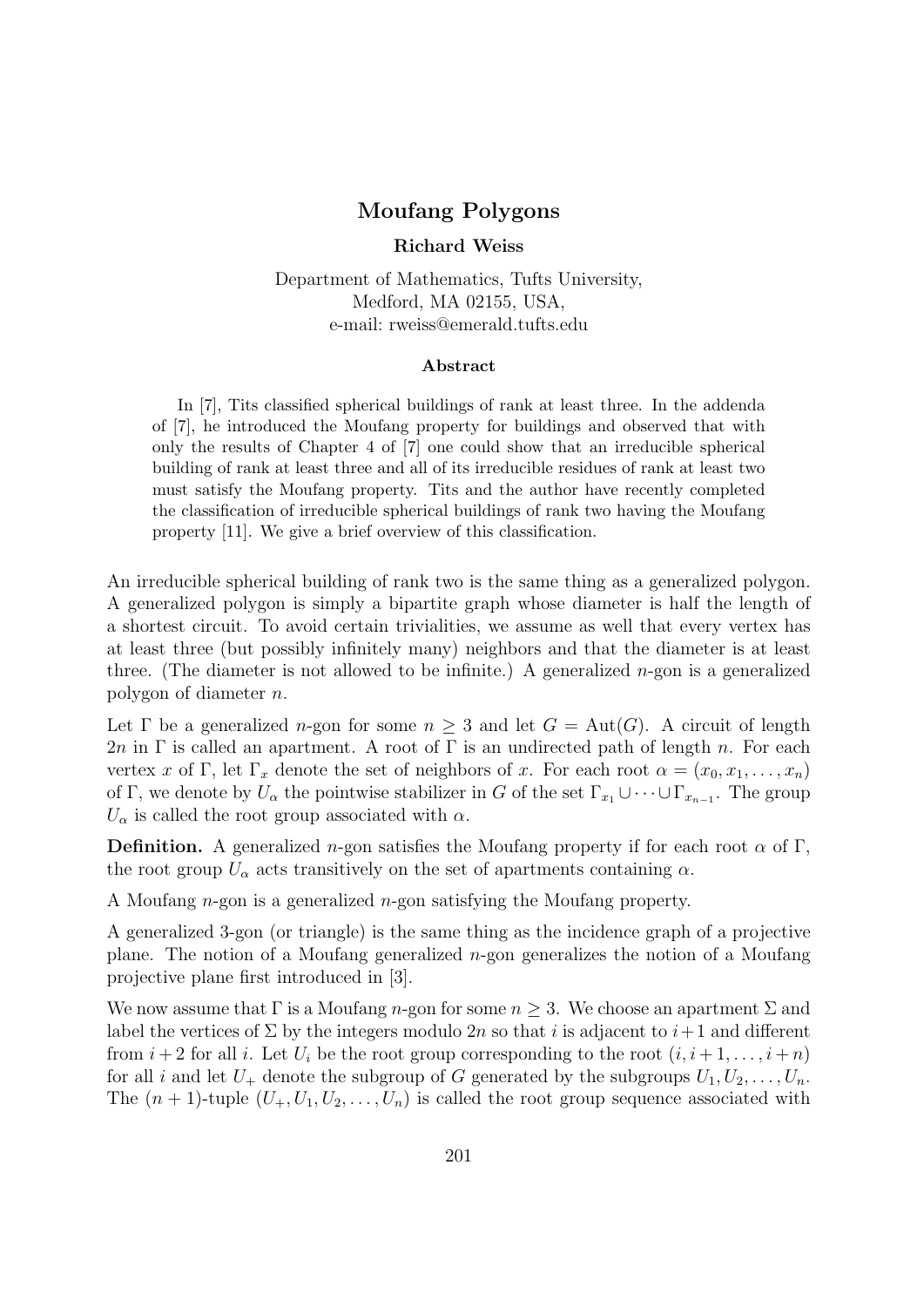## Moufang Polygons

Richard Weiss

Department of Mathematics, Tufts University, Medford, MA 02155, USA, e-mail: rweiss@emerald.tufts.edu

## Abstract

In [7], Tits classified spherical buildings of rank at least three. In the addenda of [7], he introduced the Moufang property for buildings and observed that with only the results of Chapter 4 of [7] one could show that an irreducible spherical building of rank at least three and all of its irreducible residues of rank at least two must satisfy the Moufang property. Tits and the author have recently completed the classification of irreducible spherical buildings of rank two having the Moufang property [11]. We give a brief overview of this classification.

An irreducible spherical building of rank two is the same thing as a generalized polygon. A generalized polygon is simply a bipartite graph whose diameter is half the length of a shortest circuit. To avoid certain trivialities, we assume as well that every vertex has at least three (but possibly infinitely many) neighbors and that the diameter is at least three. (The diameter is not allowed to be infinite.) A generalized  $n$ -gon is a generalized polygon of diameter n.

Let  $\Gamma$  be a generalized *n*-gon for some  $n > 3$  and let  $G = Aut(G)$ . A circuit of length 2n in Γ is called an apartment. A root of Γ is an undirected path of length n. For each vertex x of Γ, let  $\Gamma_x$  denote the set of neighbors of x. For each root  $\alpha = (x_0, x_1, \ldots, x_n)$ of Γ, we denote by  $U_{\alpha}$  the pointwise stabilizer in G of the set  $\Gamma_{x_1} \cup \cdots \cup \Gamma_{x_{n-1}}$ . The group  $U_{\alpha}$  is called the root group associated with  $\alpha$ .

**Definition.** A generalized *n*-gon satisfies the Moufang property if for each root  $\alpha$  of Γ, the root group  $U_{\alpha}$  acts transitively on the set of apartments containing  $\alpha$ .

A Moufang n-gon is a generalized n-gon satisfying the Moufang property.

A generalized 3-gon (or triangle) is the same thing as the incidence graph of a projective plane. The notion of a Moufang generalized  $n$ -gon generalizes the notion of a Moufang projective plane first introduced in [3].

We now assume that  $\Gamma$  is a Moufang n-gon for some  $n \geq 3$ . We choose an apartment  $\Sigma$  and label the vertices of  $\Sigma$  by the integers modulo 2n so that i is adjacent to  $i+1$  and different from  $i+2$  for all i. Let  $U_i$  be the root group corresponding to the root  $(i, i+1, \ldots, i+n)$ for all i and let  $U_+$  denote the subgroup of G generated by the subgroups  $U_1, U_2, \ldots, U_n$ . The  $(n + 1)$ -tuple  $(U_+, U_1, U_2, \ldots, U_n)$  is called the root group sequence associated with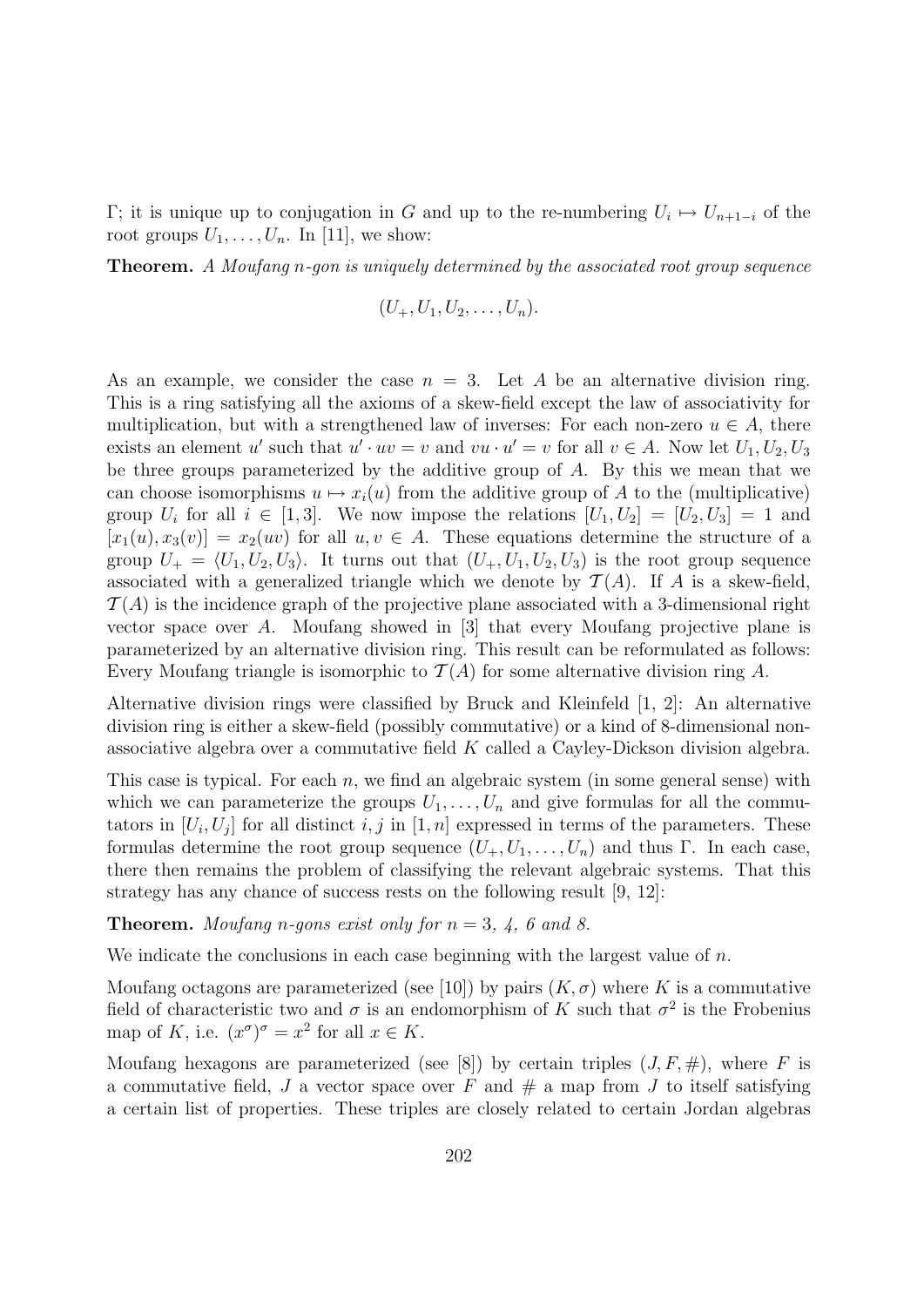Γ; it is unique up to conjugation in G and up to the re-numbering  $U_i$  →  $U_{n+1-i}$  of the root groups  $U_1, \ldots, U_n$ . In [11], we show:

Theorem. A Moufang n-gon is uniquely determined by the associated root group sequence

$$
(U_+,U_1,U_2,\ldots,U_n).
$$

As an example, we consider the case  $n = 3$ . Let A be an alternative division ring. This is a ring satisfying all the axioms of a skew-field except the law of associativity for multiplication, but with a strengthened law of inverses: For each non-zero  $u \in A$ , there exists an element u' such that  $u' \cdot uv = v$  and  $vu \cdot u' = v$  for all  $v \in A$ . Now let  $U_1, U_2, U_3$ be three groups parameterized by the additive group of A. By this we mean that we can choose isomorphisms  $u \mapsto x_i(u)$  from the additive group of A to the (multiplicative) group  $U_i$  for all  $i \in [1,3]$ . We now impose the relations  $[U_1, U_2] = [U_2, U_3] = 1$  and  $[x_1(u), x_3(v)] = x_2(uv)$  for all  $u, v \in A$ . These equations determine the structure of a group  $U_+ = \langle U_1, U_2, U_3 \rangle$ . It turns out that  $(U_+, U_1, U_2, U_3)$  is the root group sequence associated with a generalized triangle which we denote by  $\mathcal{T}(A)$ . If A is a skew-field,  $\mathcal{T}(A)$  is the incidence graph of the projective plane associated with a 3-dimensional right vector space over A. Moufang showed in [3] that every Moufang projective plane is parameterized by an alternative division ring. This result can be reformulated as follows: Every Moufang triangle is isomorphic to  $\mathcal{T}(A)$  for some alternative division ring A.

Alternative division rings were classified by Bruck and Kleinfeld [1, 2]: An alternative division ring is either a skew-field (possibly commutative) or a kind of 8-dimensional nonassociative algebra over a commutative field K called a Cayley-Dickson division algebra.

This case is typical. For each  $n$ , we find an algebraic system (in some general sense) with which we can parameterize the groups  $U_1, \ldots, U_n$  and give formulas for all the commutators in  $[U_i, U_j]$  for all distinct i, j in  $[1, n]$  expressed in terms of the parameters. These formulas determine the root group sequence  $(U_+, U_1, \ldots, U_n)$  and thus Γ. In each case, there then remains the problem of classifying the relevant algebraic systems. That this strategy has any chance of success rests on the following result [9, 12]:

**Theorem.** Moufang n-gons exist only for  $n = 3, 4, 6$  and 8.

We indicate the conclusions in each case beginning with the largest value of  $n$ .

Moufang octagons are parameterized (see [10]) by pairs  $(K, \sigma)$  where K is a commutative field of characteristic two and  $\sigma$  is an endomorphism of K such that  $\sigma^2$  is the Frobenius map of K, i.e.  $(x^{\sigma})^{\sigma} = x^2$  for all  $x \in K$ .

Moufang hexagons are parameterized (see [8]) by certain triples  $(J, F, \#)$ , where F is a commutative field, J a vector space over F and  $\#$  a map from J to itself satisfying a certain list of properties. These triples are closely related to certain Jordan algebras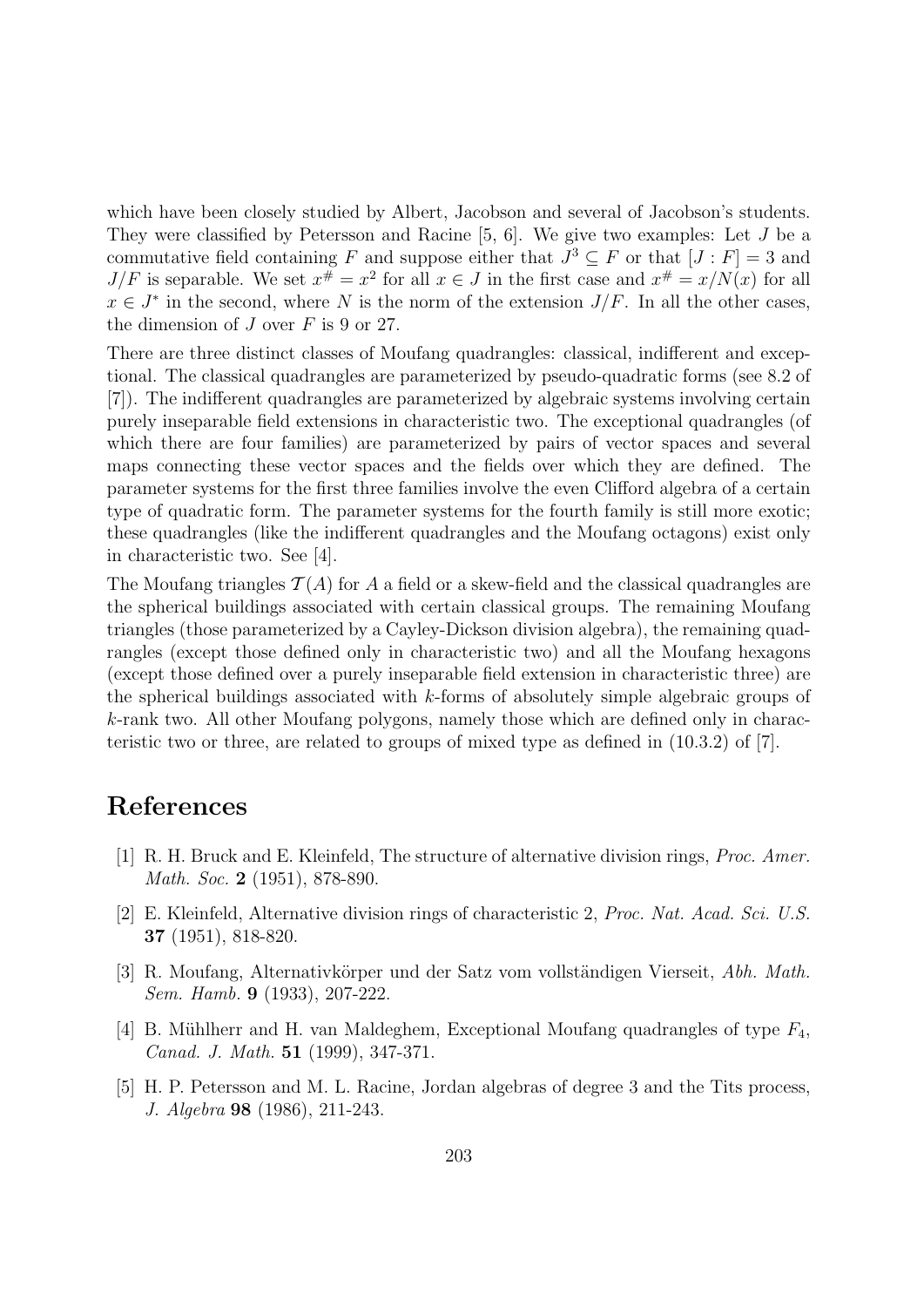which have been closely studied by Albert, Jacobson and several of Jacobson's students. They were classified by Petersson and Racine [5, 6]. We give two examples: Let J be a commutative field containing F and suppose either that  $J^3 \subseteq F$  or that  $[J: F] = 3$  and  $J/F$  is separable. We set  $x^{\#} = x^2$  for all  $x \in J$  in the first case and  $x^{\#} = x/N(x)$  for all  $x \in J^*$  in the second, where N is the norm of the extension  $J/F$ . In all the other cases, the dimension of  $J$  over  $F$  is 9 or 27.

There are three distinct classes of Moufang quadrangles: classical, indifferent and exceptional. The classical quadrangles are parameterized by pseudo-quadratic forms (see 8.2 of [7]). The indifferent quadrangles are parameterized by algebraic systems involving certain purely inseparable field extensions in characteristic two. The exceptional quadrangles (of which there are four families) are parameterized by pairs of vector spaces and several maps connecting these vector spaces and the fields over which they are defined. The parameter systems for the first three families involve the even Clifford algebra of a certain type of quadratic form. The parameter systems for the fourth family is still more exotic; these quadrangles (like the indifferent quadrangles and the Moufang octagons) exist only in characteristic two. See [4].

The Moufang triangles  $\mathcal{T}(A)$  for A a field or a skew-field and the classical quadrangles are the spherical buildings associated with certain classical groups. The remaining Moufang triangles (those parameterized by a Cayley-Dickson division algebra), the remaining quadrangles (except those defined only in characteristic two) and all the Moufang hexagons (except those defined over a purely inseparable field extension in characteristic three) are the spherical buildings associated with k-forms of absolutely simple algebraic groups of k-rank two. All other Moufang polygons, namely those which are defined only in characteristic two or three, are related to groups of mixed type as defined in (10.3.2) of [7].

## References

- [1] R. H. Bruck and E. Kleinfeld, The structure of alternative division rings, Proc. Amer. Math. Soc. 2 (1951), 878-890.
- [2] E. Kleinfeld, Alternative division rings of characteristic 2, Proc. Nat. Acad. Sci. U.S. 37 (1951), 818-820.
- [3] R. Moufang, Alternativkörper und der Satz vom vollständigen Vierseit, Abh. Math. Sem. Hamb. 9 (1933), 207-222.
- [4] B. Mühlherr and H. van Maldeghem, Exceptional Moufang quadrangles of type  $F_4$ , Canad. J. Math. 51 (1999), 347-371.
- [5] H. P. Petersson and M. L. Racine, Jordan algebras of degree 3 and the Tits process, J. Algebra 98 (1986), 211-243.